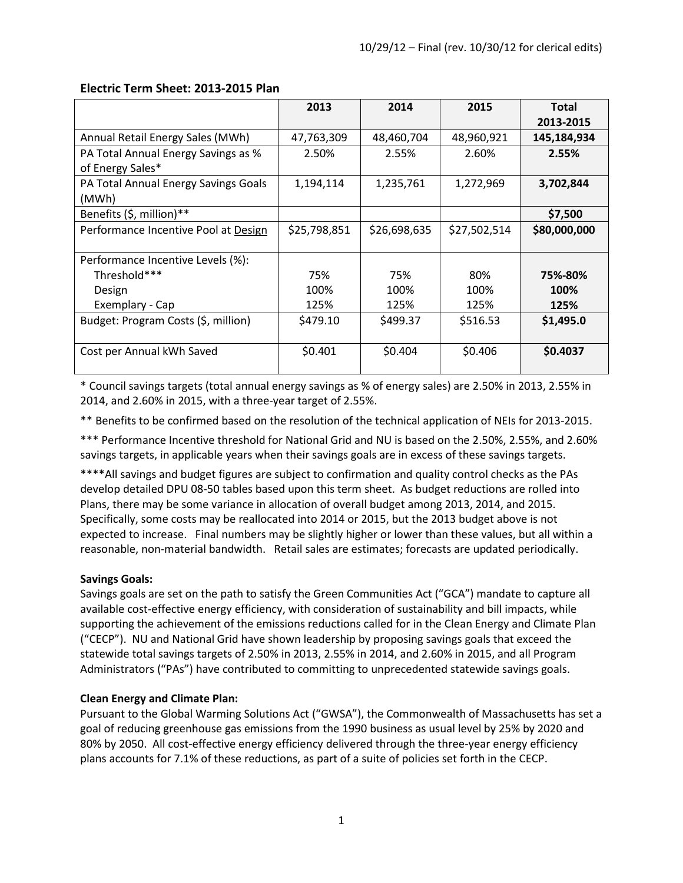|                                                         | 2013         | 2014         | 2015         | <b>Total</b><br>2013-2015 |
|---------------------------------------------------------|--------------|--------------|--------------|---------------------------|
| Annual Retail Energy Sales (MWh)                        | 47,763,309   | 48,460,704   | 48,960,921   | 145,184,934               |
| PA Total Annual Energy Savings as %<br>of Energy Sales* | 2.50%        | 2.55%        | 2.60%        | 2.55%                     |
| PA Total Annual Energy Savings Goals<br>(MWh)           | 1,194,114    | 1,235,761    | 1,272,969    | 3,702,844                 |
| Benefits (\$, million)**                                |              |              |              | \$7,500                   |
| Performance Incentive Pool at Design                    | \$25,798,851 | \$26,698,635 | \$27,502,514 | \$80,000,000              |
| Performance Incentive Levels (%):                       |              |              |              |                           |
| Threshold***                                            | 75%          | 75%          | 80%          | 75%-80%                   |
| Design                                                  | 100%         | 100%         | 100%         | 100%                      |
| Exemplary - Cap                                         | 125%         | 125%         | 125%         | 125%                      |
| Budget: Program Costs (\$, million)                     | \$479.10     | S499.37      | \$516.53     | \$1,495.0                 |
| Cost per Annual kWh Saved                               | \$0.401      | \$0.404      | \$0.406      | \$0.4037                  |

#### **Electric Term Sheet: 2013-2015 Plan**

\* Council savings targets (total annual energy savings as % of energy sales) are 2.50% in 2013, 2.55% in 2014, and 2.60% in 2015, with a three-year target of 2.55%.

\*\* Benefits to be confirmed based on the resolution of the technical application of NEIs for 2013-2015.

\*\*\* Performance Incentive threshold for National Grid and NU is based on the 2.50%, 2.55%, and 2.60% savings targets, in applicable years when their savings goals are in excess of these savings targets.

\*\*\*\*All savings and budget figures are subject to confirmation and quality control checks as the PAs develop detailed DPU 08-50 tables based upon this term sheet. As budget reductions are rolled into Plans, there may be some variance in allocation of overall budget among 2013, 2014, and 2015. Specifically, some costs may be reallocated into 2014 or 2015, but the 2013 budget above is not expected to increase. Final numbers may be slightly higher or lower than these values, but all within a reasonable, non-material bandwidth. Retail sales are estimates; forecasts are updated periodically.

#### **Savings Goals:**

Savings goals are set on the path to satisfy the Green Communities Act ("GCA") mandate to capture all available cost-effective energy efficiency, with consideration of sustainability and bill impacts, while supporting the achievement of the emissions reductions called for in the Clean Energy and Climate Plan ("CECP"). NU and National Grid have shown leadership by proposing savings goals that exceed the statewide total savings targets of 2.50% in 2013, 2.55% in 2014, and 2.60% in 2015, and all Program Administrators ("PAs") have contributed to committing to unprecedented statewide savings goals.

### **Clean Energy and Climate Plan:**

Pursuant to the Global Warming Solutions Act ("GWSA"), the Commonwealth of Massachusetts has set a goal of reducing greenhouse gas emissions from the 1990 business as usual level by 25% by 2020 and 80% by 2050. All cost-effective energy efficiency delivered through the three-year energy efficiency plans accounts for 7.1% of these reductions, as part of a suite of policies set forth in the CECP.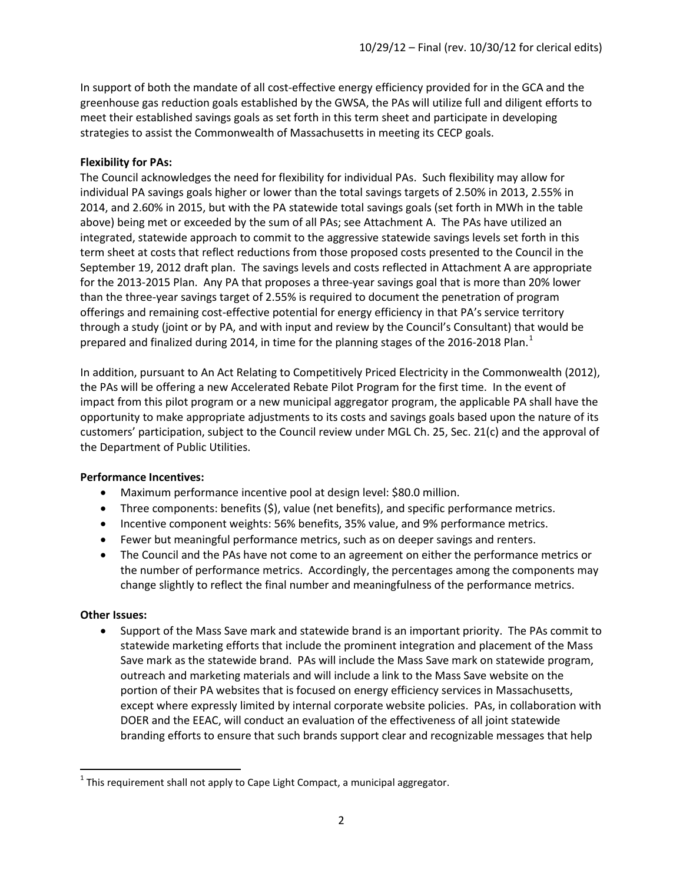In support of both the mandate of all cost-effective energy efficiency provided for in the GCA and the greenhouse gas reduction goals established by the GWSA, the PAs will utilize full and diligent efforts to meet their established savings goals as set forth in this term sheet and participate in developing strategies to assist the Commonwealth of Massachusetts in meeting its CECP goals.

#### **Flexibility for PAs:**

The Council acknowledges the need for flexibility for individual PAs. Such flexibility may allow for individual PA savings goals higher or lower than the total savings targets of 2.50% in 2013, 2.55% in 2014, and 2.60% in 2015, but with the PA statewide total savings goals (set forth in MWh in the table above) being met or exceeded by the sum of all PAs; see Attachment A. The PAs have utilized an integrated, statewide approach to commit to the aggressive statewide savings levels set forth in this term sheet at costs that reflect reductions from those proposed costs presented to the Council in the September 19, 2012 draft plan. The savings levels and costs reflected in Attachment A are appropriate for the 2013-2015 Plan. Any PA that proposes a three-year savings goal that is more than 20% lower than the three-year savings target of 2.55% is required to document the penetration of program offerings and remaining cost-effective potential for energy efficiency in that PA's service territory through a study (joint or by PA, and with input and review by the Council's Consultant) that would be prepared and finalized during 20[1](#page-1-0)4, in time for the planning stages of the 2016-2018 Plan.<sup>1</sup>

In addition, pursuant to An Act Relating to Competitively Priced Electricity in the Commonwealth (2012), the PAs will be offering a new Accelerated Rebate Pilot Program for the first time. In the event of impact from this pilot program or a new municipal aggregator program, the applicable PA shall have the opportunity to make appropriate adjustments to its costs and savings goals based upon the nature of its customers' participation, subject to the Council review under MGL Ch. 25, Sec. 21(c) and the approval of the Department of Public Utilities.

#### **Performance Incentives:**

- Maximum performance incentive pool at design level: \$80.0 million.
- Three components: benefits (\$), value (net benefits), and specific performance metrics.
- Incentive component weights: 56% benefits, 35% value, and 9% performance metrics.
- Fewer but meaningful performance metrics, such as on deeper savings and renters.
- The Council and the PAs have not come to an agreement on either the performance metrics or the number of performance metrics. Accordingly, the percentages among the components may change slightly to reflect the final number and meaningfulness of the performance metrics.

#### **Other Issues:**

• Support of the Mass Save mark and statewide brand is an important priority. The PAs commit to statewide marketing efforts that include the prominent integration and placement of the Mass Save mark as the statewide brand. PAs will include the Mass Save mark on statewide program, outreach and marketing materials and will include a link to the Mass Save website on the portion of their PA websites that is focused on energy efficiency services in Massachusetts, except where expressly limited by internal corporate website policies. PAs, in collaboration with DOER and the EEAC, will conduct an evaluation of the effectiveness of all joint statewide branding efforts to ensure that such brands support clear and recognizable messages that help

<span id="page-1-0"></span> $1$  This requirement shall not apply to Cape Light Compact, a municipal aggregator.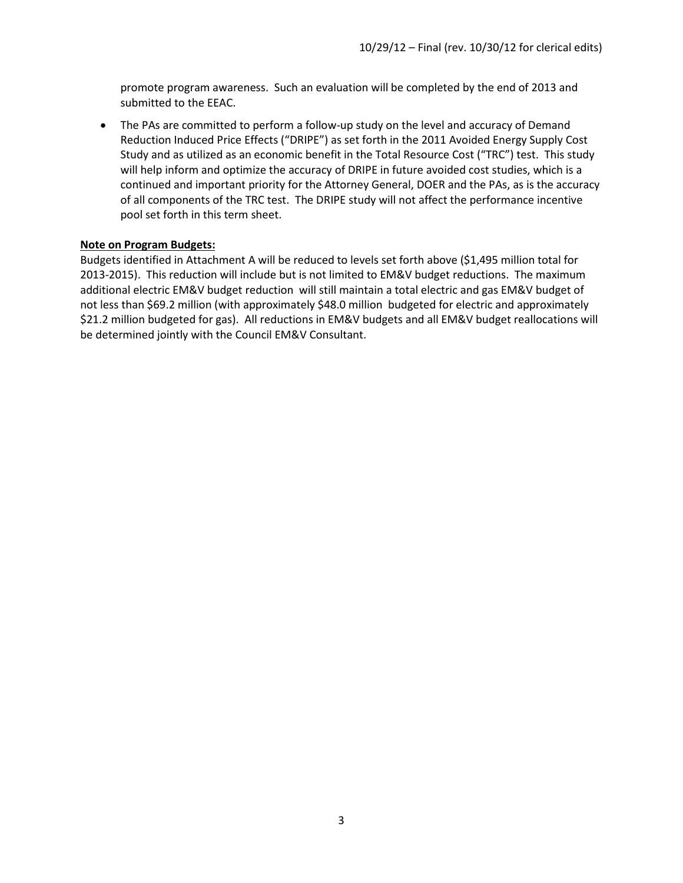promote program awareness. Such an evaluation will be completed by the end of 2013 and submitted to the EEAC.

• The PAs are committed to perform a follow-up study on the level and accuracy of Demand Reduction Induced Price Effects ("DRIPE") as set forth in the 2011 Avoided Energy Supply Cost Study and as utilized as an economic benefit in the Total Resource Cost ("TRC") test. This study will help inform and optimize the accuracy of DRIPE in future avoided cost studies, which is a continued and important priority for the Attorney General, DOER and the PAs, as is the accuracy of all components of the TRC test. The DRIPE study will not affect the performance incentive pool set forth in this term sheet.

#### **Note on Program Budgets:**

Budgets identified in Attachment A will be reduced to levels set forth above (\$1,495 million total for 2013-2015). This reduction will include but is not limited to EM&V budget reductions. The maximum additional electric EM&V budget reduction will still maintain a total electric and gas EM&V budget of not less than \$69.2 million (with approximately \$48.0 million budgeted for electric and approximately \$21.2 million budgeted for gas). All reductions in EM&V budgets and all EM&V budget reallocations will be determined jointly with the Council EM&V Consultant.